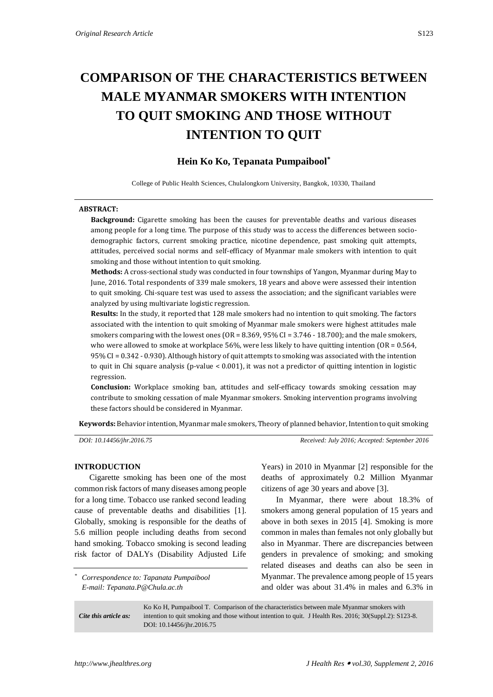# **COMPARISON OF THE CHARACTERISTICS BETWEEN MALE MYANMAR SMOKERS WITH INTENTION TO QUIT SMOKING AND THOSE WITHOUT INTENTION TO QUIT**

# **Hein Ko Ko, Tepanata Pumpaibool\***

College of Public Health Sciences, Chulalongkorn University, Bangkok, 10330, Thailand

#### **ABSTRACT:**

**Background:** Cigarette smoking has been the causes for preventable deaths and various diseases among people for a long time. The purpose of this study was to access the differences between sociodemographic factors, current smoking practice, nicotine dependence, past smoking quit attempts, attitudes, perceived social norms and self-efficacy of Myanmar male smokers with intention to quit smoking and those without intention to quit smoking.

**Methods:** A cross-sectional study was conducted in four townships of Yangon, Myanmar during May to June, 2016. Total respondents of 339 male smokers, 18 years and above were assessed their intention to quit smoking. Chi-square test was used to assess the association; and the significant variables were analyzed by using multivariate logistic regression.

**Results:** In the study, it reported that 128 male smokers had no intention to quit smoking. The factors associated with the intention to quit smoking of Myanmar male smokers were highest attitudes male smokers comparing with the lowest ones (OR = 8.369, 95% CI = 3.746 - 18.700); and the male smokers, who were allowed to smoke at workplace 56%, were less likely to have quitting intention ( $OR = 0.564$ , 95% CI = 0.342 - 0.930). Although history of quit attempts to smoking was associated with the intention to quit in Chi square analysis (p-value < 0.001), it was not a predictor of quitting intention in logistic regression.

**Conclusion:** Workplace smoking ban, attitudes and self-efficacy towards smoking cessation may contribute to smoking cessation of male Myanmar smokers. Smoking intervention programs involving these factors should be considered in Myanmar.

**Keywords:** Behavior intention, Myanmar male smokers, Theory of planned behavior, Intention to quit smoking

*DOI: 10.14456/jhr.2016.75 Received: July 2016; Accepted: September 2016*

## **INTRODUCTION**

Cigarette smoking has been one of the most common risk factors of many diseases among people for a long time. Tobacco use ranked second leading cause of preventable deaths and disabilities [1]. Globally, smoking is responsible for the deaths of 5.6 million people including deaths from second hand smoking. Tobacco smoking is second leading risk factor of DALYs (Disability Adjusted Life

*\* Correspondence to: Tapanata Pumpaibool E-mail: Tepanata.P@Chula.ac.th*

Years) in 2010 in Myanmar [2] responsible for the deaths of approximately 0.2 Million Myanmar citizens of age 30 years and above [3].

In Myanmar, there were about 18.3% of smokers among general population of 15 years and above in both sexes in 2015 [4]. Smoking is more common in males than females not only globally but also in Myanmar. There are discrepancies between genders in prevalence of smoking; and smoking related diseases and deaths can also be seen in Myanmar. The prevalence among people of 15 years and older was about 31.4% in males and 6.3% in

*Cite this article as:* Ko Ko H, Pumpaibool T. Comparison of the characteristics between male Myanmar smokers with intention to quit smoking and those without intention to quit. J Health Res. 2016; 30(Suppl.2): S123-8. DOI: 10.14456/jhr.2016.75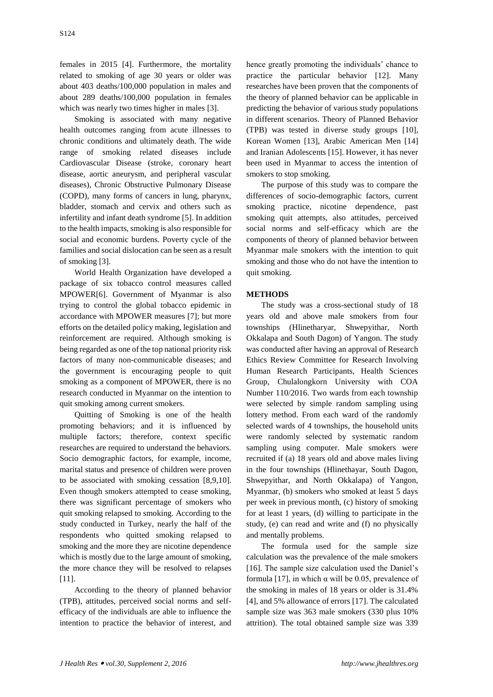females in 2015 [4]. Furthermore, the mortality related to smoking of age 30 years or older was about 403 deaths/100,000 population in males and about 289 deaths/100,000 population in females which was nearly two times higher in males [3].

Smoking is associated with many negative health outcomes ranging from acute illnesses to chronic conditions and ultimately death. The wide range of smoking related diseases include Cardiovascular Disease (stroke, coronary heart disease, aortic aneurysm, and peripheral vascular diseases), Chronic Obstructive Pulmonary Disease (COPD), many forms of cancers in lung, pharynx, bladder, stomach and cervix and others such as infertility and infant death syndrome [5]. In addition to the health impacts, smoking is also responsible for social and economic burdens. Poverty cycle of the families and social dislocation can be seen as a result of smoking [3].

World Health Organization have developed a package of six tobacco control measures called MPOWER[6]. Government of Myanmar is also trying to control the global tobacco epidemic in accordance with MPOWER measures [7]; but more efforts on the detailed policy making, legislation and reinforcement are required. Although smoking is being regarded as one of the top national priority risk factors of many non-communicable diseases; and the government is encouraging people to quit smoking as a component of MPOWER, there is no research conducted in Myanmar on the intention to quit smoking among current smokers.

Quitting of Smoking is one of the health promoting behaviors; and it is influenced by multiple factors; therefore, context specific researches are required to understand the behaviors. Socio demographic factors, for example, income, marital status and presence of children were proven to be associated with smoking cessation [8,9,10]. Even though smokers attempted to cease smoking, there was significant percentage of smokers who quit smoking relapsed to smoking. According to the study conducted in Turkey, nearly the half of the respondents who quitted smoking relapsed to smoking and the more they are nicotine dependence which is mostly due to the large amount of smoking, the more chance they will be resolved to relapses [11].

According to the theory of planned behavior (TPB), attitudes, perceived social norms and selfefficacy of the individuals are able to influence the intention to practice the behavior of interest, and

hence greatly promoting the individuals' chance to practice the particular behavior [12]. Many researches have been proven that the components of the theory of planned behavior can be applicable in predicting the behavior of various study populations in different scenarios. Theory of Planned Behavior (TPB) was tested in diverse study groups [10], Korean Women [13], Arabic American Men [14] and Iranian Adolescents [15]. However, it has never been used in Myanmar to access the intention of smokers to stop smoking.

The purpose of this study was to compare the differences of socio-demographic factors, current smoking practice, nicotine dependence, past smoking quit attempts, also attitudes, perceived social norms and self-efficacy which are the components of theory of planned behavior between Myanmar male smokers with the intention to quit smoking and those who do not have the intention to quit smoking.

# **METHODS**

The study was a cross-sectional study of 18 years old and above male smokers from four townships (Hlinetharyar, Shwepyithar, North Okkalapa and South Dagon) of Yangon. The study was conducted after having an approval of Research Ethics Review Committee for Research Involving Human Research Participants, Health Sciences Group, Chulalongkorn University with COA Number 110/2016. Two wards from each township were selected by simple random sampling using lottery method. From each ward of the randomly selected wards of 4 townships, the household units were randomly selected by systematic random sampling using computer. Male smokers were recruited if (a) 18 years old and above males living in the four townships (Hlinethayar, South Dagon, Shwepyithar, and North Okkalapa) of Yangon, Myanmar, (b) smokers who smoked at least 5 days per week in previous month, (c) history of smoking for at least 1 years, (d) willing to participate in the study, (e) can read and write and (f) no physically and mentally problems.

The formula used for the sample size calculation was the prevalence of the male smokers [16]. The sample size calculation used the Daniel's formula [17], in which α will be 0.05, prevalence of the smoking in males of 18 years or older is 31.4% [4], and 5% allowance of errors [17]. The calculated sample size was 363 male smokers (330 plus 10% attrition). The total obtained sample size was 339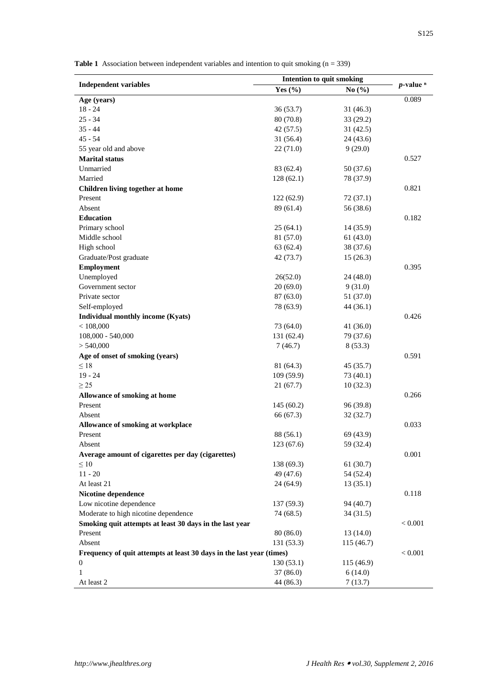**Table 1** Association between independent variables and intention to quit smoking (n = 339)

|                                                                      | Intention to quit smoking |            |                |
|----------------------------------------------------------------------|---------------------------|------------|----------------|
| <b>Independent variables</b>                                         | Yes $(\% )$               | No $(\% )$ | $p$ -value $n$ |
| Age (years)                                                          |                           |            | 0.089          |
| $18 - 24$                                                            | 36 (53.7)                 | 31(46.3)   |                |
| $25 - 34$                                                            | 80 (70.8)                 | 33(29.2)   |                |
| $35 - 44$                                                            | 42 (57.5)                 | 31(42.5)   |                |
| $45 - 54$                                                            | 31 (56.4)                 | 24 (43.6)  |                |
| 55 year old and above                                                | 22 (71.0)                 | 9(29.0)    |                |
| <b>Marital status</b>                                                |                           |            | 0.527          |
| Unmarried                                                            | 83 (62.4)                 | 50 (37.6)  |                |
| Married                                                              | 128(62.1)                 | 78 (37.9)  |                |
| Children living together at home                                     |                           |            | 0.821          |
| Present                                                              | 122(62.9)                 | 72 (37.1)  |                |
| Absent                                                               | 89 (61.4)                 | 56 (38.6)  |                |
| <b>Education</b>                                                     |                           |            | 0.182          |
| Primary school                                                       | 25(64.1)                  | 14(35.9)   |                |
| Middle school                                                        | 81 (57.0)                 | 61(43.0)   |                |
| High school                                                          | 63 (62.4)                 | 38 (37.6)  |                |
| Graduate/Post graduate                                               | 42 (73.7)                 | 15(26.3)   |                |
| <b>Employment</b>                                                    |                           |            | 0.395          |
| Unemployed                                                           | 26(52.0)                  | 24 (48.0)  |                |
| Government sector                                                    | 20(69.0)                  | 9(31.0)    |                |
| Private sector                                                       | 87(63.0)                  | 51 (37.0)  |                |
| Self-employed                                                        | 78 (63.9)                 | 44 (36.1)  |                |
| Individual monthly income (Kyats)                                    |                           |            | 0.426          |
| < 108,000                                                            | 73 (64.0)                 | 41 (36.0)  |                |
| 108,000 - 540,000                                                    | 131 (62.4)                | 79 (37.6)  |                |
| > 540,000                                                            | 7(46.7)                   | 8(53.3)    |                |
| Age of onset of smoking (years)                                      |                           |            | 0.591          |
| $\leq 18$                                                            | 81 (64.3)                 | 45 (35.7)  |                |
| $19 - 24$                                                            | 109 (59.9)                | 73 (40.1)  |                |
| $\geq$ 25                                                            | 21(67.7)                  | 10(32.3)   |                |
| Allowance of smoking at home                                         |                           |            | 0.266          |
| Present                                                              | 145(60.2)                 | 96 (39.8)  |                |
| Absent                                                               | 66 (67.3)                 | 32(32.7)   |                |
| Allowance of smoking at workplace                                    |                           |            | 0.033          |
| Present                                                              | 88 (56.1)                 | 69 (43.9)  |                |
| Absent                                                               | 123 (67.6)                | 59 (32.4)  |                |
| Average amount of cigarettes per day (cigarettes)                    |                           |            | 0.001          |
| $\leq 10$                                                            | 138 (69.3)                | 61(30.7)   |                |
| $11 - 20$                                                            | 49 (47.6)                 | 54 (52.4)  |                |
| At least 21                                                          | 24 (64.9)                 | 13(35.1)   |                |
| Nicotine dependence                                                  |                           |            | 0.118          |
| Low nicotine dependence                                              | 137 (59.3)                | 94 (40.7)  |                |
| Moderate to high nicotine dependence                                 | 74 (68.5)                 | 34 (31.5)  |                |
| Smoking quit attempts at least 30 days in the last year              |                           |            | < 0.001        |
| Present                                                              | 80 (86.0)                 | 13(14.0)   |                |
| Absent                                                               | 131 (53.3)                | 115(46.7)  |                |
| Frequency of quit attempts at least 30 days in the last year (times) |                           |            | < 0.001        |
| 0                                                                    | 130(53.1)                 | 115 (46.9) |                |
| $\mathbf{1}$                                                         | 37(86.0)                  | 6(14.0)    |                |
| At least 2                                                           | 44 (86.3)                 | 7(13.7)    |                |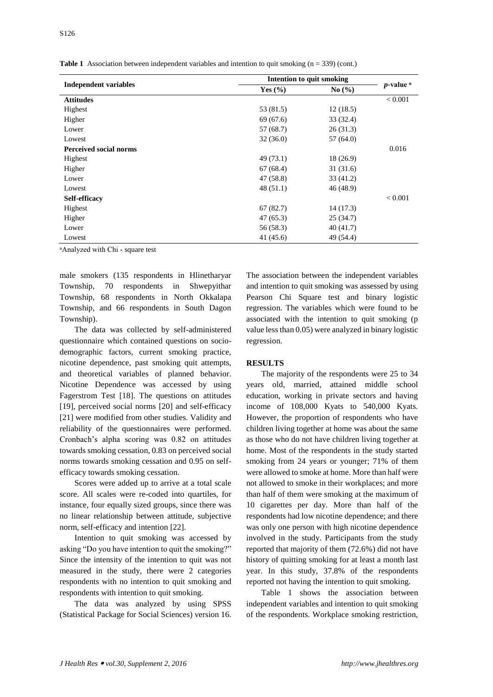|  |  | <b>Table 1</b> Association between independent variables and intention to quit smoking $(n = 339)$ (cont.) |  |  |  |  |
|--|--|------------------------------------------------------------------------------------------------------------|--|--|--|--|
|--|--|------------------------------------------------------------------------------------------------------------|--|--|--|--|

|                               | <b>Intention to quit smoking</b> |                               |                |
|-------------------------------|----------------------------------|-------------------------------|----------------|
| <b>Independent variables</b>  | Yes $(\% )$                      | No $\left(\frac{0}{0}\right)$ | $p$ -value $n$ |
| <b>Attitudes</b>              |                                  |                               | < 0.001        |
| Highest                       | 53 (81.5)                        | 12(18.5)                      |                |
| Higher                        | 69 (67.6)                        | 33 (32.4)                     |                |
| Lower                         | 57 (68.7)                        | 26(31.3)                      |                |
| Lowest                        | 32(36.0)                         | 57(64.0)                      |                |
| <b>Perceived social norms</b> |                                  |                               | 0.016          |
| Highest                       | 49 (73.1)                        | 18 (26.9)                     |                |
| Higher                        | 67 (68.4)                        | 31(31.6)                      |                |
| Lower                         | 47 (58.8)                        | 33 (41.2)                     |                |
| Lowest                        | 48(51.1)                         | 46 (48.9)                     |                |
| Self-efficacy                 |                                  |                               | < 0.001        |
| Highest                       | 67(82.7)                         | 14(17.3)                      |                |
| Higher                        | 47 (65.3)                        | 25(34.7)                      |                |
| Lower                         | 56 (58.3)                        | 40 (41.7)                     |                |
| Lowest                        | 41 (45.6)                        | 49 (54.4)                     |                |
|                               |                                  |                               |                |

ⁿAnalyzed with Chi - square test

male smokers (135 respondents in Hlinetharyar Township, 70 respondents in Shwepyithar Township, 68 respondents in North Okkalapa Township, and 66 respondents in South Dagon Township).

The data was collected by self-administered questionnaire which contained questions on sociodemographic factors, current smoking practice, nicotine dependence, past smoking quit attempts, and theoretical variables of planned behavior. Nicotine Dependence was accessed by using Fagerstrom Test [18]. The questions on attitudes [19], perceived social norms [20] and self-efficacy [21] were modified from other studies. Validity and reliability of the questionnaires were performed. Cronbach's alpha scoring was 0.82 on attitudes towards smoking cessation, 0.83 on perceived social norms towards smoking cessation and 0.95 on selfefficacy towards smoking cessation.

Scores were added up to arrive at a total scale score. All scales were re-coded into quartiles, for instance, four equally sized groups, since there was no linear relationship between attitude, subjective norm, self-efficacy and intention [22].

Intention to quit smoking was accessed by asking "Do you have intention to quit the smoking?" Since the intensity of the intention to quit was not measured in the study, there were 2 categories respondents with no intention to quit smoking and respondents with intention to quit smoking.

The data was analyzed by using SPSS (Statistical Package for Social Sciences) version 16. The association between the independent variables and intention to quit smoking was assessed by using Pearson Chi Square test and binary logistic regression. The variables which were found to be associated with the intention to quit smoking (p value less than 0.05) were analyzed in binary logistic regression.

### **RESULTS**

The majority of the respondents were 25 to 34 years old, married, attained middle school education, working in private sectors and having income of 108,000 Kyats to 540,000 Kyats. However, the proportion of respondents who have children living together at home was about the same as those who do not have children living together at home. Most of the respondents in the study started smoking from 24 years or younger; 71% of them were allowed to smoke at home. More than half were not allowed to smoke in their workplaces; and more than half of them were smoking at the maximum of 10 cigarettes per day. More than half of the respondents had low nicotine dependence; and there was only one person with high nicotine dependence involved in the study. Participants from the study reported that majority of them (72.6%) did not have history of quitting smoking for at least a month last year. In this study, 37.8% of the respondents reported not having the intention to quit smoking.

Table 1 shows the association between independent variables and intention to quit smoking of the respondents. Workplace smoking restriction,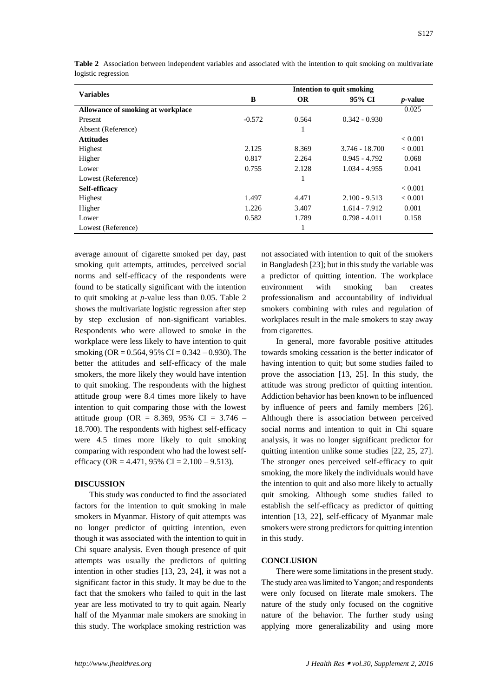|  | S <sub>127</sub> |
|--|------------------|
|  |                  |
|  |                  |

| <b>Variables</b>                  | Intention to quit smoking |           |                 |                 |  |
|-----------------------------------|---------------------------|-----------|-----------------|-----------------|--|
|                                   | B                         | <b>OR</b> | 95% CI          | <i>p</i> -value |  |
| Allowance of smoking at workplace |                           |           |                 | 0.025           |  |
| Present                           | $-0.572$                  | 0.564     | $0.342 - 0.930$ |                 |  |
| Absent (Reference)                |                           | 1         |                 |                 |  |
| <b>Attitudes</b>                  |                           |           |                 | ${}_{< 0.001}$  |  |
| Highest                           | 2.125                     | 8.369     | 3.746 - 18.700  | < 0.001         |  |
| Higher                            | 0.817                     | 2.264     | $0.945 - 4.792$ | 0.068           |  |
| Lower                             | 0.755                     | 2.128     | $1.034 - 4.955$ | 0.041           |  |
| Lowest (Reference)                |                           | ш         |                 |                 |  |
| Self-efficacy                     |                           |           |                 | ${}_{< 0.001}$  |  |
| Highest                           | 1.497                     | 4.471     | $2.100 - 9.513$ | ${}_{< 0.001}$  |  |
| Higher                            | 1.226                     | 3.407     | $1.614 - 7.912$ | 0.001           |  |
| Lower                             | 0.582                     | 1.789     | $0.798 - 4.011$ | 0.158           |  |
| Lowest (Reference)                |                           | ш         |                 |                 |  |

**Table 2** Association between independent variables and associated with the intention to quit smoking on multivariate logistic regression

average amount of cigarette smoked per day, past smoking quit attempts, attitudes, perceived social norms and self-efficacy of the respondents were found to be statically significant with the intention to quit smoking at *p-*value less than 0.05. Table 2 shows the multivariate logistic regression after step by step exclusion of non-significant variables. Respondents who were allowed to smoke in the workplace were less likely to have intention to quit smoking (OR =  $0.564$ , 95% CI =  $0.342 - 0.930$ ). The better the attitudes and self-efficacy of the male smokers, the more likely they would have intention to quit smoking. The respondents with the highest attitude group were 8.4 times more likely to have intention to quit comparing those with the lowest attitude group (OR = 8.369, 95% CI = 3.746 – 18.700). The respondents with highest self-efficacy were 4.5 times more likely to quit smoking comparing with respondent who had the lowest selfefficacy (OR = 4.471, 95% CI =  $2.100 - 9.513$ ).

## **DISCUSSION**

This study was conducted to find the associated factors for the intention to quit smoking in male smokers in Myanmar. History of quit attempts was no longer predictor of quitting intention, even though it was associated with the intention to quit in Chi square analysis. Even though presence of quit attempts was usually the predictors of quitting intention in other studies [13, 23, 24], it was not a significant factor in this study. It may be due to the fact that the smokers who failed to quit in the last year are less motivated to try to quit again. Nearly half of the Myanmar male smokers are smoking in this study. The workplace smoking restriction was

not associated with intention to quit of the smokers in Bangladesh [23]; but in this study the variable was a predictor of quitting intention. The workplace environment with smoking ban creates professionalism and accountability of individual smokers combining with rules and regulation of workplaces result in the male smokers to stay away from cigarettes.

In general, more favorable positive attitudes towards smoking cessation is the better indicator of having intention to quit; but some studies failed to prove the association [13, 25]. In this study, the attitude was strong predictor of quitting intention. Addiction behavior has been known to be influenced by influence of peers and family members [26]. Although there is association between perceived social norms and intention to quit in Chi square analysis, it was no longer significant predictor for quitting intention unlike some studies [22, 25, 27]. The stronger ones perceived self-efficacy to quit smoking, the more likely the individuals would have the intention to quit and also more likely to actually quit smoking. Although some studies failed to establish the self-efficacy as predictor of quitting intention [13, 22], self-efficacy of Myanmar male smokers were strong predictors for quitting intention in this study.

#### **CONCLUSION**

There were some limitations in the present study. The study area was limited to Yangon; and respondents were only focused on literate male smokers. The nature of the study only focused on the cognitive nature of the behavior. The further study using applying more generalizability and using more